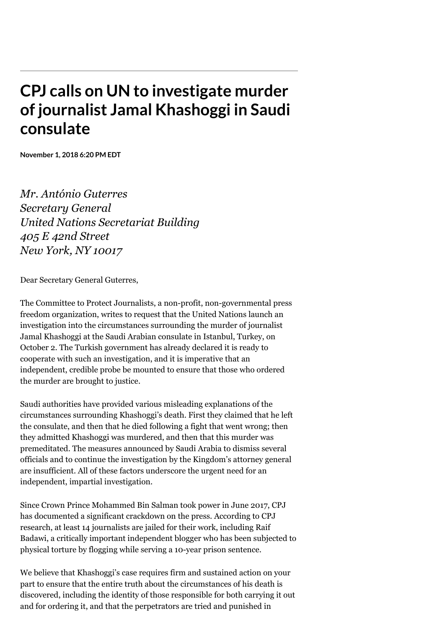## **CPJ calls on UN to investigate murder of journalist Jamal Khashoggi in Saudi consulate**

**November 1, 2018 6:20 PM EDT**

*Mr. António Guterres Secretary General United Nations Secretariat Building 405 E 42nd Street New York, NY 10017*

Dear Secretary General Guterres,

The Committee to Protect Journalists, a non-profit, non-governmental press freedom organization, writes to request that the United Nations launch an investigation into the circumstances surrounding the murder of journalist Jamal Khashoggi at the Saudi Arabian consulate in Istanbul, Turkey, on October 2. The Turkish government has already declared it is ready to cooperate with such an investigation, and it is imperative that an independent, credible probe be mounted to ensure that those who ordered the murder are brought to justice.

Saudi authorities have provided various misleading explanations of the circumstances surrounding Khashoggi's death. First they claimed that he left the consulate, and then that he died following a fight that went wrong; then they admitted Khashoggi was murdered, and then that this murder was premeditated. The measures announced by Saudi Arabia to dismiss several officials and to continue the investigation by the Kingdom's attorney general are insufficient. All of these factors underscore the urgent need for an independent, impartial investigation.

Since Crown Prince Mohammed Bin Salman took power in June 2017, CPJ has [documented a significant crackdown](https://cpj.org/blog/2018/09/new-saudi-arabia-ushers-in-even-more-repressive-cl.php) on the press. According to CPJ research, at least 14 journalists are jailed for their work, including Raif Badawi, a critically important independent blogger who has been subjected to physical torture by flogging while serving a 10-year prison sentence.

We believe that Khashoggi's case requires firm and sustained action on your part to ensure that the entire truth about the circumstances of his death is discovered, including the identity of those responsible for both carrying it out and for ordering it, and that the perpetrators are tried and punished in